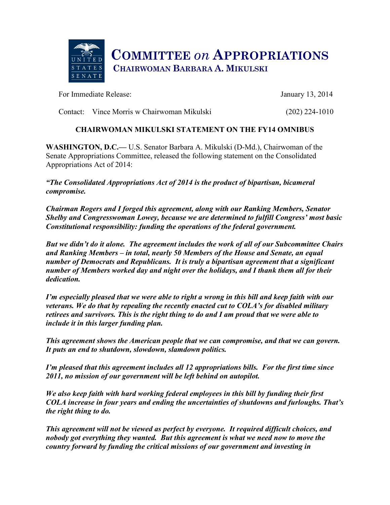

For Immediate Release: January 13, 2014

Contact: Vince Morris w Chairwoman Mikulski (202) 224-1010

## **CHAIRWOMAN MIKULSKI STATEMENT ON THE FY14 OMNIBUS**

**WASHINGTON, D.C.—** U.S. Senator Barbara A. Mikulski (D-Md.), Chairwoman of the Senate Appropriations Committee, released the following statement on the Consolidated Appropriations Act of 2014:

*"The Consolidated Appropriations Act of 2014 is the product of bipartisan, bicameral compromise.*

*Chairman Rogers and I forged this agreement, along with our Ranking Members, Senator Shelby and Congresswoman Lowey, because we are determined to fulfill Congress' most basic Constitutional responsibility: funding the operations of the federal government.* 

*But we didn't do it alone. The agreement includes the work of all of our Subcommittee Chairs and Ranking Members – in total, nearly 50 Members of the House and Senate, an equal number of Democrats and Republicans. It is truly a bipartisan agreement that a significant number of Members worked day and night over the holidays, and I thank them all for their dedication.*

*I'm especially pleased that we were able to right a wrong in this bill and keep faith with our veterans. We do that by repealing the recently enacted cut to COLA's for disabled military retirees and survivors. This is the right thing to do and I am proud that we were able to include it in this larger funding plan.*

*This agreement shows the American people that we can compromise, and that we can govern. It puts an end to shutdown, slowdown, slamdown politics.* 

*I'm pleased that this agreement includes all 12 appropriations bills. For the first time since 2011, no mission of our government will be left behind on autopilot.*

*We also keep faith with hard working federal employees in this bill by funding their first COLA increase in four years and ending the uncertainties of shutdowns and furloughs. That's the right thing to do.*

*This agreement will not be viewed as perfect by everyone. It required difficult choices, and nobody got everything they wanted. But this agreement is what we need now to move the country forward by funding the critical missions of our government and investing in*